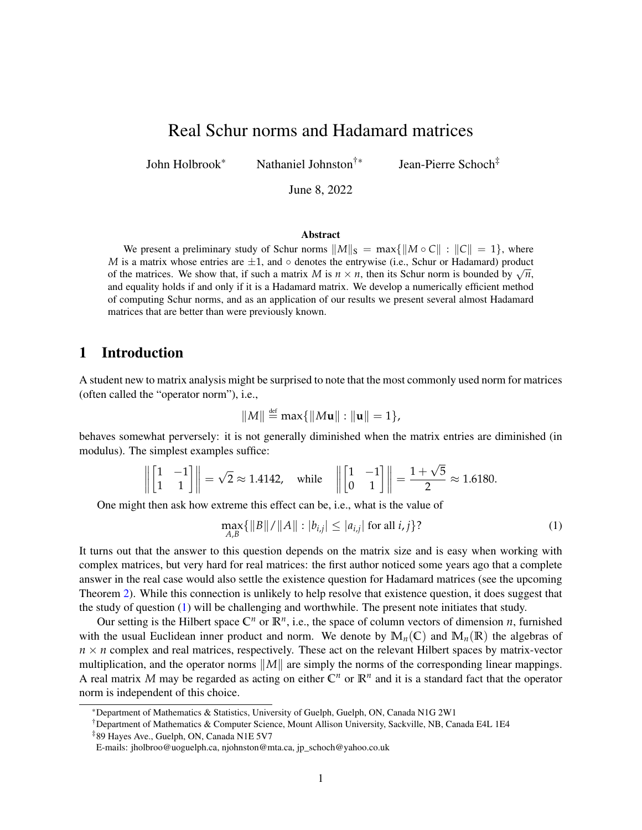# <span id="page-0-1"></span>Real Schur norms and Hadamard matrices

John Holbrook\* Nathaniel Johnston†<sup>∗</sup>

Jean-Pierre Schoch‡

June 8, 2022

#### Abstract

We present a preliminary study of Schur norms  $||M||_S = \max{||M \circ C|| : ||C|| = 1}$ , where *M* is a matrix whose entries are  $\pm 1$ , and  $\circ$  denotes the entrywise (i.e., Schur or Hadamard) product *M* is a matrix whose entries are  $\pm 1$ , and  $\circ$  denotes the entrywise (i.e., Schur or Hadamard) product of the matrices. We show that, if such a matrix *M* is  $n \times n$ , then its Schur norm is bounded by  $\sqrt{n}$ , and equality holds if and only if it is a Hadamard matrix. We develop a numerically efficient method of computing Schur norms, and as an application of our results we present several almost Hadamard matrices that are better than were previously known.

# 1 Introduction

A student new to matrix analysis might be surprised to note that the most commonly used norm for matrices (often called the "operator norm"), i.e.,

$$
||M|| \stackrel{\text{def}}{=} \max\{||M\mathbf{u}||: ||\mathbf{u}|| = 1\},
$$

behaves somewhat perversely: it is not generally diminished when the matrix entries are diminished (in modulus). The simplest examples suffice:

$$
\left\| \begin{bmatrix} 1 & -1 \\ 1 & 1 \end{bmatrix} \right\| = \sqrt{2} \approx 1.4142, \quad \text{while} \quad \left\| \begin{bmatrix} 1 & -1 \\ 0 & 1 \end{bmatrix} \right\| = \frac{1 + \sqrt{5}}{2} \approx 1.6180.
$$

One might then ask how extreme this effect can be, i.e., what is the value of

<span id="page-0-0"></span>
$$
\max_{A,B} \{ ||B|| / ||A|| : |b_{i,j}| \le |a_{i,j}| \text{ for all } i,j \} \tag{1}
$$

It turns out that the answer to this question depends on the matrix size and is easy when working with complex matrices, but very hard for real matrices: the first author noticed some years ago that a complete answer in the real case would also settle the existence question for Hadamard matrices (see the upcoming Theorem [2\)](#page-2-0). While this connection is unlikely to help resolve that existence question, it does suggest that the study of question [\(1\)](#page-0-0) will be challenging and worthwhile. The present note initiates that study.

Our setting is the Hilbert space  $\mathbb{C}^n$  or  $\mathbb{R}^n$ , i.e., the space of column vectors of dimension *n*, furnished with the usual Euclidean inner product and norm. We denote by  $\mathbb{M}_n(\mathbb{C})$  and  $\mathbb{M}_n(\mathbb{R})$  the algebras of  $n \times n$  complex and real matrices, respectively. These act on the relevant Hilbert spaces by matrix-vector multiplication, and the operator norms ∥*M*∥ are simply the norms of the corresponding linear mappings. A real matrix M may be regarded as acting on either  $\mathbb{C}^n$  or  $\mathbb{R}^n$  and it is a standard fact that the operator norm is independent of this choice.

<sup>\*</sup>Department of Mathematics & Statistics, University of Guelph, Guelph, ON, Canada N1G 2W1

<sup>†</sup>Department of Mathematics & Computer Science, Mount Allison University, Sackville, NB, Canada E4L 1E4

<sup>‡</sup>89 Hayes Ave., Guelph, ON, Canada N1E 5V7

E-mails: jholbroo@uoguelph.ca, njohnston@mta.ca, jp\_schoch@yahoo.co.uk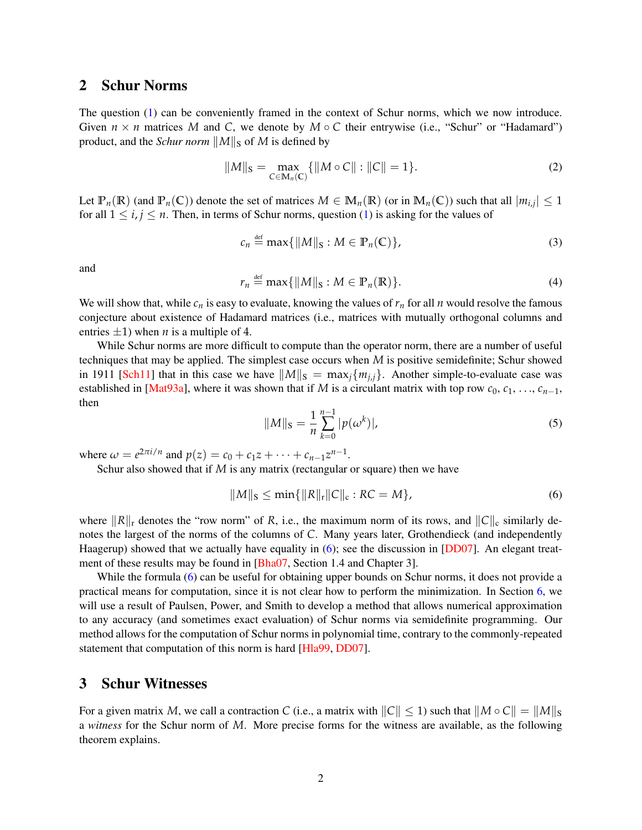### <span id="page-1-3"></span>2 Schur Norms

The question [\(1\)](#page-0-0) can be conveniently framed in the context of Schur norms, which we now introduce. Given  $n \times n$  matrices *M* and *C*, we denote by  $M \circ C$  their entrywise (i.e., "Schur" or "Hadamard") product, and the *Schur norm*  $||M||$ <sub>S</sub> of *M* is defined by

$$
||M||_{\mathcal{S}} = \max_{C \in \mathbb{M}_n(C)} \{ ||M \circ C|| : ||C|| = 1 \}.
$$
 (2)

Let  $\mathbb{P}_n(\mathbb{R})$  (and  $\mathbb{P}_n(\mathbb{C})$ ) denote the set of matrices  $M \in \mathbb{M}_n(\mathbb{R})$  (or in  $\mathbb{M}_n(\mathbb{C})$ ) such that all  $|m_{i,j}| \leq 1$ for all  $1 \le i, j \le n$ . Then, in terms of Schur norms, question [\(1\)](#page-0-0) is asking for the values of

<span id="page-1-1"></span>
$$
c_n \stackrel{\text{def}}{=} \max\{\|M\|_{\mathcal{S}} : M \in \mathbb{P}_n(\mathbb{C})\},\tag{3}
$$

and

<span id="page-1-2"></span>
$$
r_n \stackrel{\text{def}}{=} \max\{\|M\|_{\mathcal{S}} : M \in \mathbb{P}_n(\mathbb{R})\}.
$$
 (4)

We will show that, while  $c_n$  is easy to evaluate, knowing the values of  $r_n$  for all  $n$  would resolve the famous conjecture about existence of Hadamard matrices (i.e., matrices with mutually orthogonal columns and entries  $\pm 1$ ) when *n* is a multiple of 4.

While Schur norms are more difficult to compute than the operator norm, there are a number of useful techniques that may be applied. The simplest case occurs when *M* is positive semidefinite; Schur showed in 1911 [\[Sch11\]](#page-16-0) that in this case we have  $||M||_S = \max_i \{m_{i,i}\}\$ . Another simple-to-evaluate case was established in [\[Mat93a\]](#page-15-0), where it was shown that if *M* is a circulant matrix with top row  $c_0, c_1, \ldots, c_{n-1}$ , then

<span id="page-1-4"></span>
$$
||M||_{\mathcal{S}} = \frac{1}{n} \sum_{k=0}^{n-1} |p(\omega^k)|,\tag{5}
$$

where  $\omega = e^{2\pi i/n}$  and  $p(z) = c_0 + c_1 z + \cdots + c_{n-1} z^{n-1}$ .

Schur also showed that if *M* is any matrix (rectangular or square) then we have

<span id="page-1-0"></span>
$$
||M||_S \le \min\{||R||_r||C||_c : RC = M\},\tag{6}
$$

where ∥*R*∥<sup>r</sup> denotes the "row norm" of *R*, i.e., the maximum norm of its rows, and ∥*C*∥<sup>c</sup> similarly denotes the largest of the norms of the columns of *C*. Many years later, Grothendieck (and independently Haagerup) showed that we actually have equality in [\(6\)](#page-1-0); see the discussion in [\[DD07\]](#page-15-1). An elegant treat-ment of these results may be found in [\[Bha07,](#page-15-2) Section 1.4 and Chapter 3].

While the formula [\(6\)](#page-1-0) can be useful for obtaining upper bounds on Schur norms, it does not provide a practical means for computation, since it is not clear how to perform the minimization. In Section [6,](#page-8-0) we will use a result of Paulsen, Power, and Smith to develop a method that allows numerical approximation to any accuracy (and sometimes exact evaluation) of Schur norms via semidefinite programming. Our method allows for the computation of Schur norms in polynomial time, contrary to the commonly-repeated statement that computation of this norm is hard [\[Hla99,](#page-15-3) [DD07\]](#page-15-1).

### 3 Schur Witnesses

For a given matrix *M*, we call a contraction *C* (i.e., a matrix with  $||C|| \le 1$ ) such that  $||M \circ C|| = ||M||_{S}$ a *witness* for the Schur norm of *M*. More precise forms for the witness are available, as the following theorem explains.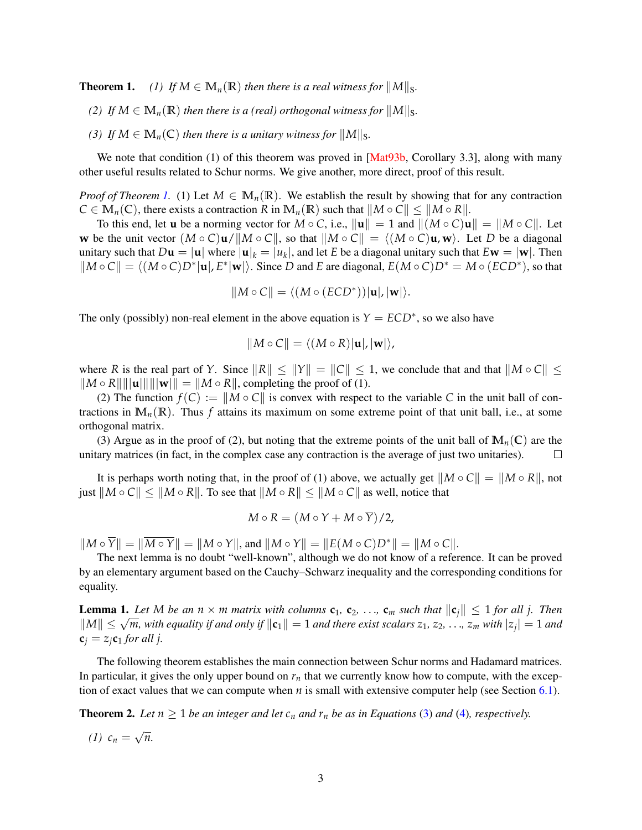**Theorem 1.** *(1) If*  $M \in M_n(\mathbb{R})$  *then there is a real witness for*  $||M||_S$ *.* 

- *(2) If*  $M \in M_n(\mathbb{R})$  *then there is a (real) orthogonal witness for*  $||M||_S$ .
- *(3) If*  $M \in M_n(\mathbb{C})$  *then there is a unitary witness for*  $||M||_S$ *.*

We note that condition (1) of this theorem was proved in [\[Mat93b,](#page-15-4) Corollary 3.3], along with many other useful results related to Schur norms. We give another, more direct, proof of this result.

*Proof of Theorem [1.](#page-0-1)* (1) Let  $M \in \mathbb{M}_n(\mathbb{R})$ . We establish the result by showing that for any contraction  $C \in M_n(\mathbb{C})$ , there exists a contraction *R* in  $M_n(\mathbb{R})$  such that  $\|M \circ C\| \leq \|M \circ R\|$ .

To this end, let **u** be a norming vector for  $M \circ C$ , i.e.,  $\|\mathbf{u}\| = 1$  and  $\|(M \circ C)\mathbf{u}\| = \|M \circ C\|$ . Let **w** be the unit vector  $(M \circ C)$ **u**/ $\|M \circ C\|$ , so that  $\|M \circ C\| = \langle (M \circ C)$ **u**, **w** $\rangle$ . Let *D* be a diagonal unitary such that  $D\mathbf{u} = |\mathbf{u}|$  where  $|\mathbf{u}|_k = |u_k|$ , and let *E* be a diagonal unitary such that  $E\mathbf{w} = |\mathbf{w}|$ . Then  $||M \circ C|| = \langle (M \circ C)D^* | \mathbf{u}|, E^* | \mathbf{w} \rangle$ . Since *D* and *E* are diagonal,  $E(M \circ C)D^* = M \circ (ECD^*)$ , so that

$$
||M \circ C|| = \langle (M \circ (ECD^*)) | \mathbf{u}|, |\mathbf{w}| \rangle.
$$

The only (possibly) non-real element in the above equation is  $Y = ECD^*$ , so we also have

$$
||M \circ C|| = \langle (M \circ R) | \mathbf{u} |, |\mathbf{w} | \rangle,
$$

where *R* is the real part of *Y*. Since  $||R|| \le ||Y|| = ||C|| \le 1$ , we conclude that and that  $||M \circ C|| \le$  $\|M \circ R\| \|\mathbf{u}\| \|\mathbf{w}\| = \|M \circ R\|$ , completing the proof of (1).

(2) The function  $f(C) := ||M \circ C||$  is convex with respect to the variable *C* in the unit ball of contractions in  $\mathbb{M}_n(\mathbb{R})$ . Thus f attains its maximum on some extreme point of that unit ball, i.e., at some orthogonal matrix.

(3) Argue as in the proof of (2), but noting that the extreme points of the unit ball of  $\mathbb{M}_n(\mathbb{C})$  are the unitary matrices (in fact, in the complex case any contraction is the average of just two unitaries).  $\Box$ 

It is perhaps worth noting that, in the proof of (1) above, we actually get  $||M \circ C|| = ||M \circ R||$ , not just  $||M \circ C|| \leq ||M \circ R||$ . To see that  $||M \circ R|| \leq ||M \circ C||$  as well, notice that

$$
M \circ R = (M \circ Y + M \circ \overline{Y})/2,
$$

 $||M \circ \overline{Y}|| = ||\overline{M \circ Y}|| = ||M \circ Y||$ , and  $||M \circ Y|| = ||E(M \circ C)D^*|| = ||M \circ C||$ .

The next lemma is no doubt "well-known", although we do not know of a reference. It can be proved by an elementary argument based on the Cauchy–Schwarz inequality and the corresponding conditions for equality.

<span id="page-2-1"></span>**Lemma 1.** Let M be an  $n \times m$  matrix with columns  $c_1, c_2, ..., c_m$  such that  $||c_i|| \leq 1$  for all j. Then *M*∥ ≤  $\sqrt{m}$ , with equality if and only if  $||{\bf c}_1|| = 1$  and there exist scalars  $z_1, z_2, ..., z_m$  with  $|z_j| = 1$  and  $||M|| \le \sqrt{m}$ , with equality if and only if  $||{\bf c}_1|| = 1$  and there exist scalars  $z_1, z_2, ..., z_m$  with  $|z_j$  $c_j = z_j c_1$  *for all j.* 

The following theorem establishes the main connection between Schur norms and Hadamard matrices. In particular, it gives the only upper bound on  $r<sub>n</sub>$  that we currently know how to compute, with the exception of exact values that we can compute when  $n$  is small with extensive computer help (see Section [6.1\)](#page-9-0).

<span id="page-2-0"></span>**Theorem 2.** Let  $n \geq 1$  be an integer and let  $c_n$  and  $r_n$  be as in Equations [\(3\)](#page-1-1) and [\(4\)](#page-1-2), respectively.

 $(1)$   $c_n =$ √ *n.*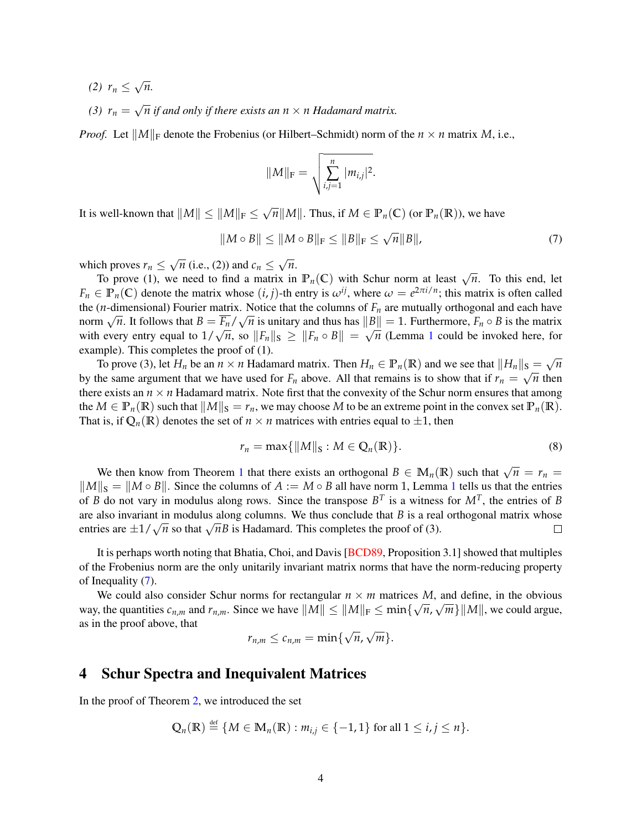- *(2) r<sup>n</sup>* ≤ √ *n.*
- $(3)$   $r_n =$ √ *n if and only if there exists an n* × *n Hadamard matrix.*

*Proof.* Let  $||M||_F$  denote the Frobenius (or Hilbert–Schmidt) norm of the  $n \times n$  matrix *M*, i.e.,

<span id="page-3-0"></span>
$$
||M||_{\mathrm{F}} = \sqrt{\sum_{i,j=1}^{n} |m_{i,j}|^2}.
$$

It is well-known that  $\|M\|\leq \|M\|_{\text{F}}\leq$ √  $\overline{n}$ ∥*M*∥. Thus, if *M* ∈  $\mathbb{P}_n(\mathbb{C})$  (or  $\mathbb{P}_n(\mathbb{R})$ ), we have

$$
||M \circ B|| \le ||M \circ B||_F \le ||B||_F \le \sqrt{n} ||B||, \tag{7}
$$

which proves  $r_n \leq$ √  $\overline{n}$  (i.e., (2)) and  $c_n \leq$ √ *n*.

To proves  $r_n \leq \sqrt{n}$  (i.e., (2)) and  $c_n \leq \sqrt{n}$ .<br>To prove (1), we need to find a matrix in  $\mathbb{P}_n(\mathbb{C})$  with Schur norm at least  $\sqrt{n}$ . To this end, let  $F_n \in \mathbb{P}_n(\mathbb{C})$  denote the matrix whose  $(i, j)$ -th entry is  $\omega^{ij}$ , where  $\omega = e^{2\pi i/n}$ ; this matrix is often called the (*n*-dimensional) Fourier matrix. Notice that the columns of  $F_n$  are mutually orthogonal and each have  $\lim_{n \to \infty} \frac{\sqrt{n}}{n}$ . It follows that  $B = \frac{\overline{F_n}}{n} / \sqrt{n}$  is unitary and thus has  $||B|| = 1$ . Furthermore,  $F_n \circ B$  is the matrix norm  $\sqrt{n}$ . It follows that  $B = F_n / \sqrt{n}$  is unitary and thus has  $||B|| = 1$  $||B|| = 1$ . Furthermore,  $F_n \circ B$  is the matrix with every entry equal to  $1/\sqrt{n}$ , so  $||F_n||_S \ge ||F_n \circ B|| = \sqrt{n}$  (Lemma 1 could be invoked here, for example). This completes the proof of (1). √

To prove (3), let  $H_n$  be an  $n \times n$  Hadamard matrix. Then  $H_n \in \mathbb{P}_n(\mathbb{R})$  and we see that  $||H_n||_{\mathbb{S}} =$  $s = \sqrt{n}$ by the same argument that we have used for  $F_n$  above. All that remains is to show that if  $r_n = \sqrt{n}$  then there exists an  $n \times n$  Hadamard matrix. Note first that the convexity of the Schur norm ensures that among the  $M \in \mathbb{P}_n(\mathbb{R})$  such that  $||M||_{\mathbb{S}} = r_n$ , we may choose M to be an extreme point in the convex set  $\mathbb{P}_n(\mathbb{R})$ . That is, if  $\mathbb{Q}_n(\mathbb{R})$  denotes the set of  $n \times n$  matrices with entries equal to  $\pm 1$ , then

<span id="page-3-1"></span>
$$
r_n = \max\{\|M\|_{\mathcal{S}} : M \in \mathbb{Q}_n(\mathbb{R})\}.
$$
\n(8)

We then know from Theorem [1](#page-0-1) that there exists an orthogonal  $B \in M_n(\mathbb{R})$  such that  $\sqrt{n} = r_n$  $||M||_S = ||M \circ B||$ . Since the columns of  $A := M \circ B$  all have norm [1](#page-2-1), Lemma 1 tells us that the entries of *B* do not vary in modulus along rows. Since the transpose  $B<sup>T</sup>$  is a witness for  $M<sup>T</sup>$ , the entries of *B* are also invariant in modulus along columns. We thus conclude that *B* is a real orthogonal matrix whose are also invariant in modulus along columns. We thus conclude that *B* is a real entries are  $\pm 1/\sqrt{n}$  so that  $\sqrt{n}B$  is Hadamard. This completes the proof of (3).  $\Box$ 

It is perhaps worth noting that Bhatia, Choi, and Davis [\[BCD89,](#page-15-5) Proposition 3.1] showed that multiples of the Frobenius norm are the only unitarily invariant matrix norms that have the norm-reducing property of Inequality [\(7\)](#page-3-0).

We could also consider Schur norms for rectangular  $n \times m$  matrices *M*, and define, in the obvious way, the quantities  $c_{n,m}$  and  $r_{n,m}$ . Since we have  $||M|| \le ||M||_F \le \min\{\sqrt{n}, \sqrt{m}\} ||M||$ , we could argue, as in the proof above, that √ √

$$
r_{n,m}\leq c_{n,m}=\min\{\sqrt{n},\sqrt{m}\}.
$$

### <span id="page-3-2"></span>4 Schur Spectra and Inequivalent Matrices

In the proof of Theorem [2,](#page-2-0) we introduced the set

$$
\mathbb{Q}_n(\mathbb{R}) \stackrel{\text{def}}{=} \{ M \in \mathbb{M}_n(\mathbb{R}) : m_{i,j} \in \{-1,1\} \text{ for all } 1 \leq i,j \leq n \}.
$$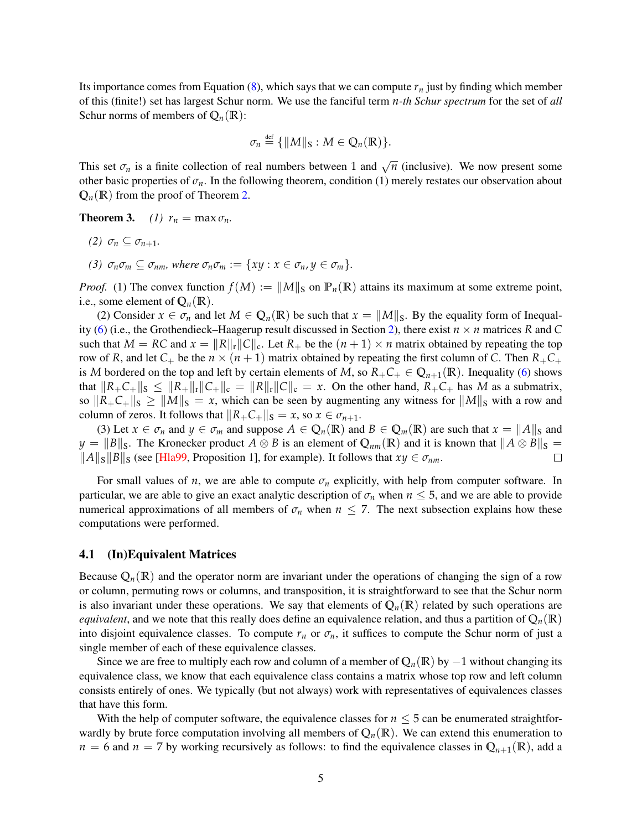Its importance comes from Equation  $(8)$ , which says that we can compute  $r<sub>n</sub>$  just by finding which member of this (finite!) set has largest Schur norm. We use the fanciful term *n-th Schur spectrum* for the set of *all* Schur norms of members of  $Q_n(\mathbb{R})$ :

$$
\sigma_n \stackrel{\text{def}}{=} \{ \|M\|_{\mathbf{S}} : M \in \mathbb{Q}_n(\mathbb{R}) \}.
$$

This set  $\sigma_n$  is a finite collection of real numbers between 1 and  $\sqrt{n}$  (inclusive). We now present some other basic properties of  $\sigma_n$ . In the following theorem, condition (1) merely restates our observation about  $Q_n(\mathbb{R})$  from the proof of Theorem [2.](#page-2-0)

**Theorem 3.** *(1)*  $r_n = \max \sigma_n$ .

- *(2)*  $\sigma_n \subset \sigma_{n+1}$ .
- *(3)*  $\sigma_n \sigma_m \subseteq \sigma_{nm}$ , where  $\sigma_n \sigma_m := \{ xy : x \in \sigma_n, y \in \sigma_m \}.$

*Proof.* (1) The convex function  $f(M) := ||M||_S$  on  $\mathbb{P}_n(\mathbb{R})$  attains its maximum at some extreme point, i.e., some element of  $Q_n(\mathbb{R})$ .

(2) Consider  $x \in \sigma_n$  and let  $M \in \mathbb{Q}_n(\mathbb{R})$  be such that  $x = ||M||_S$ . By the equality form of Inequal-ity [\(6\)](#page-1-0) (i.e., the Grothendieck–Haagerup result discussed in Section [2\)](#page-1-3), there exist  $n \times n$  matrices *R* and *C* such that  $M = RC$  and  $x = ||R||_r ||C||_c$ . Let  $R_+$  be the  $(n + 1) \times n$  matrix obtained by repeating the top row of *R*, and let  $C_+$  be the  $n \times (n + 1)$  matrix obtained by repeating the first column of *C*. Then  $R_+C_+$ is *M* bordered on the top and left by certain elements of *M*, so  $R_+C_+ \in \mathbb{Q}_{n+1}(\mathbb{R})$ . Inequality [\(6\)](#page-1-0) shows that  $||R_+C_+||_S \le ||R_+||_r ||C_+||_c = ||R||_r ||C||_c = x$ . On the other hand,  $R_+C_+$  has M as a submatrix, so  $||R_+C_+||_S \ge ||M||_S = x$ , which can be seen by augmenting any witness for  $||M||_S$  with a row and column of zeros. It follows that  $||R_+C_+||_S = x$ , so  $x \in \sigma_{n+1}$ .

(3) Let  $x \in \sigma_n$  and  $y \in \sigma_m$  and suppose  $A \in \mathbb{Q}_n(\mathbb{R})$  and  $B \in \mathbb{Q}_m(\mathbb{R})$  are such that  $x = ||A||_S$  and *y* =  $||B||_S$ . The Kronecker product *A* ⊗ *B* is an element of  $Q_{nm}(R)$  and it is known that  $||A \otimes B||_S =$  $||A||$ <sub>S</sub> $||B||$ <sub>S</sub> (see [\[Hla99,](#page-15-3) Proposition 1], for example). It follows that *xy* ∈  $\sigma$ <sub>nm</sub>.  $\Box$ 

For small values of *n*, we are able to compute  $\sigma_n$  explicitly, with help from computer software. In particular, we are able to give an exact analytic description of  $\sigma_n$  when  $n \leq 5$ , and we are able to provide numerical approximations of all members of  $\sigma_n$  when  $n \leq 7$ . The next subsection explains how these computations were performed.

### 4.1 (In)Equivalent Matrices

Because  $\mathbb{Q}_n(\mathbb{R})$  and the operator norm are invariant under the operations of changing the sign of a row or column, permuting rows or columns, and transposition, it is straightforward to see that the Schur norm is also invariant under these operations. We say that elements of  $\mathbb{Q}_n(\mathbb{R})$  related by such operations are *equivalent*, and we note that this really does define an equivalence relation, and thus a partition of  $\mathbb{Q}_n(\mathbb{R})$ into disjoint equivalence classes. To compute  $r_n$  or  $\sigma_n$ , it suffices to compute the Schur norm of just a single member of each of these equivalence classes.

Since we are free to multiply each row and column of a member of  $Q_n(\mathbb{R})$  by  $-1$  without changing its equivalence class, we know that each equivalence class contains a matrix whose top row and left column consists entirely of ones. We typically (but not always) work with representatives of equivalences classes that have this form.

With the help of computer software, the equivalence classes for  $n \leq 5$  can be enumerated straightforwardly by brute force computation involving all members of  $\mathbb{Q}_n(\mathbb{R})$ . We can extend this enumeration to  $n = 6$  and  $n = 7$  by working recursively as follows: to find the equivalence classes in  $\mathbb{Q}_{n+1}(\mathbb{R})$ , add a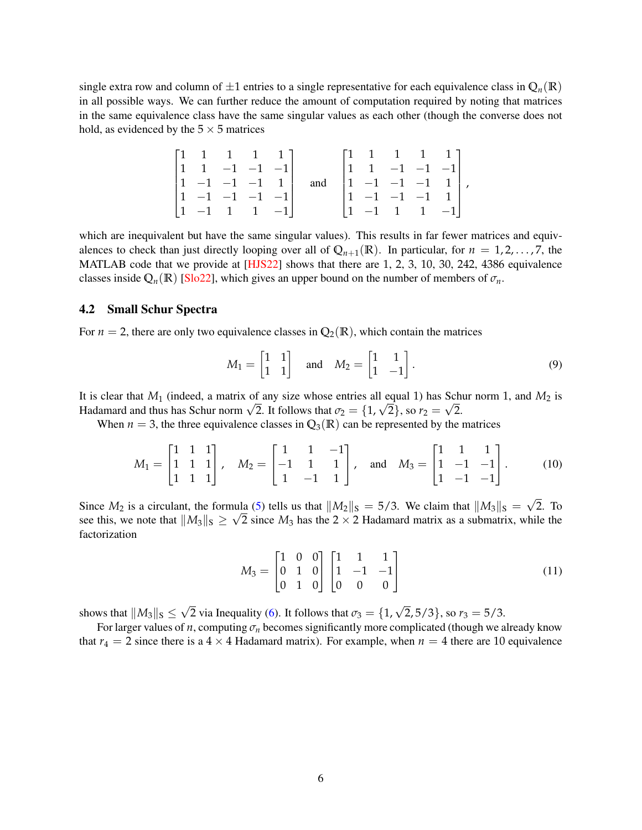single extra row and column of  $\pm 1$  entries to a single representative for each equivalence class in  $\mathbb{Q}_n(\mathbb{R})$ in all possible ways. We can further reduce the amount of computation required by noting that matrices in the same equivalence class have the same singular values as each other (though the converse does not hold, as evidenced by the  $5 \times 5$  matrices

|  | $\begin{bmatrix} 1 & 1 & 1 & 1 & 1 \end{bmatrix}$    |  |     | $\begin{bmatrix} 1 & 1 & 1 & 1 & 1 \end{bmatrix}$      |  |  |
|--|------------------------------------------------------|--|-----|--------------------------------------------------------|--|--|
|  | $\begin{vmatrix} 1 & 1 & -1 & -1 & -1 \end{vmatrix}$ |  |     | $\begin{vmatrix} 1 & 1 & -1 & -1 & -1 \end{vmatrix}$   |  |  |
|  | $\begin{vmatrix} 1 & -1 & -1 & -1 & 1 \end{vmatrix}$ |  | and | $\begin{vmatrix} 1 & -1 & -1 & -1 & 1 \end{vmatrix}$ , |  |  |
|  | $\begin{vmatrix} 1 & -1 & -1 & -1 \end{vmatrix}$     |  |     | $\begin{vmatrix} 1 & -1 & -1 & -1 & 1 \end{vmatrix}$   |  |  |
|  | $\begin{vmatrix} 1 & -1 & 1 & 1 & -1 \end{vmatrix}$  |  |     | $\begin{vmatrix} 1 & -1 & 1 & 1 & -1 \end{vmatrix}$    |  |  |

which are inequivalent but have the same singular values). This results in far fewer matrices and equivalences to check than just directly looping over all of  $\mathbb{Q}_{n+1}(\mathbb{R})$ . In particular, for  $n = 1, 2, \ldots, 7$ , the MATLAB code that we provide at [\[HJS22\]](#page-15-6) shows that there are 1, 2, 3, 10, 30, 242, 4386 equivalence classes inside  $\mathbb{Q}_n(\mathbb{R})$  [\[Slo22\]](#page-16-1), which gives an upper bound on the number of members of  $\sigma_n$ .

#### 4.2 Small Schur Spectra

For  $n = 2$ , there are only two equivalence classes in  $\mathbb{Q}_2(\mathbb{R})$ , which contain the matrices

$$
M_1 = \begin{bmatrix} 1 & 1 \\ 1 & 1 \end{bmatrix} \quad \text{and} \quad M_2 = \begin{bmatrix} 1 & 1 \\ 1 & -1 \end{bmatrix}.
$$
 (9)

It is clear that  $M_1$  (indeed, a matrix of any size whose entries all equal 1) has Schur norm 1, and  $M_2$  is It is clear that  $M_1$  (indeed, a matrix of any size whose entries all equal 1) has Schi<br>Hadamard and thus has Schur norm  $\sqrt{2}$ . It follows that  $\sigma_2 = \{1, \sqrt{2}\}$ , so  $r_2 = \sqrt{2}$ .

When  $n = 3$ , the three equivalence classes in  $\mathbb{Q}_3(\mathbb{R})$  can be represented by the matrices

$$
M_1 = \begin{bmatrix} 1 & 1 & 1 \\ 1 & 1 & 1 \\ 1 & 1 & 1 \end{bmatrix}, \quad M_2 = \begin{bmatrix} 1 & 1 & -1 \\ -1 & 1 & 1 \\ 1 & -1 & 1 \end{bmatrix}, \quad \text{and} \quad M_3 = \begin{bmatrix} 1 & 1 & 1 \\ 1 & -1 & -1 \\ 1 & -1 & -1 \end{bmatrix}.
$$
 (10)

Since  $M_2$  is a circulant, the formula [\(5\)](#page-1-4) tells us that  $||M_2||_S = 5/3$ . We claim that  $||M_3||_S =$ √ nula (5) tells us that  $||M_2||_S = 5/3$ . We claim that  $||M_3||_S = \sqrt{2}$ . To see this, we note that  $||M_3||_S \geq \sqrt{2}$  since  $M_3$  has the 2 × 2 Hadamard matrix as a submatrix, while the factorization

<span id="page-5-1"></span><span id="page-5-0"></span>
$$
M_3 = \begin{bmatrix} 1 & 0 & 0 \\ 0 & 1 & 0 \\ 0 & 1 & 0 \end{bmatrix} \begin{bmatrix} 1 & 1 & 1 \\ 1 & -1 & -1 \\ 0 & 0 & 0 \end{bmatrix}
$$
 (11)

shows that  $||M_3||_S \le$  $\sqrt{2}$  via Inequality [\(6\)](#page-1-0). It follows that  $\sigma_3 = \{1, \sqrt{2}, 5/3\}$ , so  $r_3 = 5/3$ .

For larger values of *n*, computing  $\sigma_n$  becomes significantly more complicated (though we already know that  $r_4 = 2$  since there is a  $4 \times 4$  Hadamard matrix). For example, when  $n = 4$  there are 10 equivalence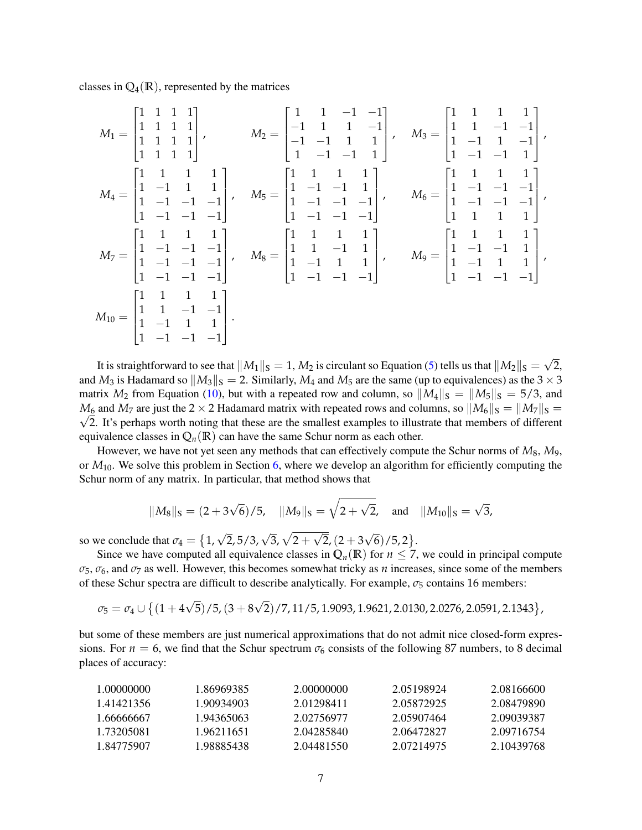classes in  $\mathbb{Q}_4(\mathbb{R})$ , represented by the matrices

$$
M_1 = \begin{bmatrix} 1 & 1 & 1 & 1 \\ 1 & 1 & 1 & 1 \\ 1 & 1 & 1 & 1 \\ 1 & 1 & 1 & 1 \end{bmatrix}, \qquad M_2 = \begin{bmatrix} 1 & 1 & -1 & -1 \\ -1 & 1 & 1 & -1 \\ -1 & -1 & 1 & 1 \\ 1 & -1 & -1 & 1 \end{bmatrix}, \qquad M_3 = \begin{bmatrix} 1 & 1 & 1 & 1 \\ 1 & 1 & -1 & -1 \\ 1 & -1 & 1 & -1 \\ 1 & -1 & -1 & 1 \end{bmatrix},
$$
  
\n
$$
M_4 = \begin{bmatrix} 1 & 1 & 1 & 1 \\ 1 & -1 & 1 & 1 \\ 1 & -1 & -1 & -1 \\ 1 & -1 & -1 & -1 \end{bmatrix}, \qquad M_5 = \begin{bmatrix} 1 & 1 & 1 & 1 \\ 1 & -1 & -1 & 1 \\ 1 & -1 & -1 & -1 \\ 1 & -1 & -1 & -1 \end{bmatrix}, \qquad M_6 = \begin{bmatrix} 1 & 1 & 1 & 1 \\ 1 & -1 & -1 & -1 \\ 1 & 1 & 1 & 1 \\ 1 & 1 & 1 & 1 \end{bmatrix},
$$
  
\n
$$
M_7 = \begin{bmatrix} 1 & 1 & 1 & 1 \\ 1 & -1 & -1 & -1 \\ 1 & -1 & -1 & -1 \\ 1 & -1 & -1 & -1 \end{bmatrix}, \qquad M_8 = \begin{bmatrix} 1 & 1 & 1 & 1 \\ 1 & 1 & -1 & 1 \\ 1 & -1 & 1 & 1 \\ 1 & -1 & -1 & -1 \end{bmatrix}, \qquad M_9 = \begin{bmatrix} 1 & 1 & 1 & 1 \\ 1 & -1 & -1 & 1 \\ 1 & -1 & -1 & -1 \\ 1 & -1 & -1 & -1 \end{bmatrix},
$$
  
\n
$$
M_{10} = \begin{bmatrix} 1 & 1 & 1 & 1 \\ 1 & 1 & -1 & -1 \\ 1 & -1 & 1 & 1 \\ 1 & -1 & -1 & -1 \end{bmatrix}.
$$

It is straightforward to see that  $||M_1||_{S} = 1$ ,  $M_2$  is circulant so Equation [\(5\)](#page-1-4) tells us that  $||M_2||_S =$ √ 2, and  $M_3$  is Hadamard so  $||M_3||_S = 2$ . Similarly,  $M_4$  and  $M_5$  are the same (up to equivalences) as the  $3 \times 3$ matrix  $M_2$  from Equation [\(10\)](#page-5-0), but with a repeated row and column, so  $||M_4||_S = ||M_5||_S = 5/3$ , and  $M_6$  and  $M_7$  are just the 2 × 2 Hadamard matrix with repeated rows and columns, so  $||M_6||_S = ||M_7||_S =$  $\sqrt{2}$ . It's perhaps worth noting that these are the smallest examples to illustrate that members of different equivalence classes in  $Q_n(\mathbb{R})$  can have the same Schur norm as each other.

However, we have not yet seen any methods that can effectively compute the Schur norms of *M*8, *M*9, or *M*10. We solve this problem in Section [6,](#page-8-0) where we develop an algorithm for efficiently computing the Schur norm of any matrix. In particular, that method shows that

$$
||M_8||_S = (2 + 3\sqrt{6})/5
$$
,  $||M_9||_S = \sqrt{2 + \sqrt{2}}$ , and  $||M_{10}||_S = \sqrt{3}$ ,

so we conclude that  $\sigma_4 = \{1, \sqrt{2}, 5/3, \sqrt{3}, \sqrt{2} + \}$ √  $2,(2+3)$ √  $\overline{6})$ /5,2 $\}$ .

Since we have computed all equivalence classes in  $Q_n(\mathbb{R})$  for  $n \leq 7$ , we could in principal compute  $\sigma_5$ ,  $\sigma_6$ , and  $\sigma_7$  as well. However, this becomes somewhat tricky as *n* increases, since some of the members of these Schur spectra are difficult to describe analytically. For example, *σ*<sup>5</sup> contains 16 members:

$$
\sigma_5 = \sigma_4 \cup \left\{ (1+4\sqrt{5})/5, (3+8\sqrt{2})/7, 11/5, 1.9093, 1.9621, 2.0130, 2.0276, 2.0591, 2.1343 \right\},\,
$$

but some of these members are just numerical approximations that do not admit nice closed-form expressions. For  $n = 6$ , we find that the Schur spectrum  $\sigma_6$  consists of the following 87 numbers, to 8 decimal places of accuracy:

| 1.00000000 | 1.86969385. | 2.00000000 | 2.05198924 | 2.08166600 |
|------------|-------------|------------|------------|------------|
| 1 41421356 | 1 90934903  | 2.01298411 | 2.05872925 | 2.08479890 |
| 1.66666667 | 1 94365063  | 2.02756977 | 2.05907464 | 2.09039387 |
| 1 73205081 | 1 9621 1651 | 2.04285840 | 2.06472827 | 2.09716754 |
| 1 84775907 | 1 98885438  | 2.04481550 | 2.07214975 | 2.10439768 |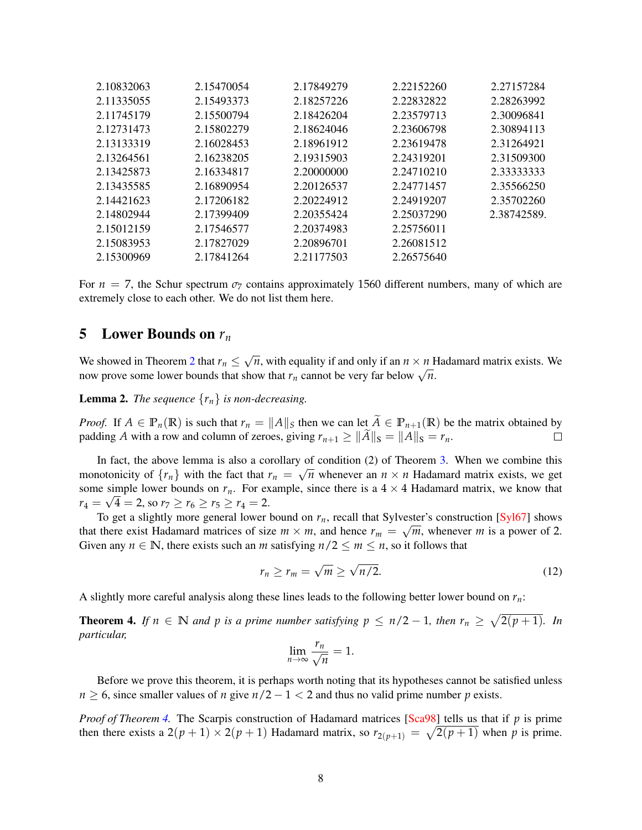| 2.10832063 | 2.15470054 | 2.17849279 | 2.22152260 | 2.27157284  |
|------------|------------|------------|------------|-------------|
| 2.11335055 | 2.15493373 | 2.18257226 | 2.22832822 | 2.28263992  |
| 2.11745179 | 2.15500794 | 2.18426204 | 2.23579713 | 2.30096841  |
| 2.12731473 | 2.15802279 | 2.18624046 | 2.23606798 | 2.30894113  |
| 2.13133319 | 2.16028453 | 2.18961912 | 2.23619478 | 2.31264921  |
| 2.13264561 | 2.16238205 | 2.19315903 | 2.24319201 | 2.31509300  |
| 2.13425873 | 2.16334817 | 2.20000000 | 2.24710210 | 2.33333333  |
| 2.13435585 | 2.16890954 | 2.20126537 | 2.24771457 | 2.35566250  |
| 2.14421623 | 2.17206182 | 2.20224912 | 2.24919207 | 2.35702260  |
| 2.14802944 | 2.17399409 | 2.20355424 | 2.25037290 | 2.38742589. |
| 2.15012159 | 2.17546577 | 2.20374983 | 2.25756011 |             |
| 2.15083953 | 2.17827029 | 2.20896701 | 2.26081512 |             |
| 2.15300969 | 2.17841264 | 2.21177503 | 2.26575640 |             |
|            |            |            |            |             |

For  $n = 7$ , the Schur spectrum  $\sigma$ <sub>7</sub> contains approximately 1560 different numbers, many of which are extremely close to each other. We do not list them here.

### 5 Lower Bounds on *r<sup>n</sup>*

We showed in Theorem [2](#page-2-0) that  $r_n \leq$ √  $\overline{n}$ , with equality if and only if an  $n \times n$  Hadamard matrix exists. We we showed in Theorem 2 that  $r_n \le \sqrt{n}$ , while equality if and only if an  $n \times n$  **r** now prove some lower bounds that show that  $r_n$  cannot be very far below  $\sqrt{n}$ .

<span id="page-7-1"></span>**Lemma 2.** *The sequence*  $\{r_n\}$  *is non-decreasing.* 

*Proof.* If  $A \in \mathbb{P}_n(\mathbb{R})$  is such that  $r_n = ||A||_S$  then we can let  $\tilde{A} \in \mathbb{P}_{n+1}(\mathbb{R})$  be the matrix obtained by padding *A* with a row and column of zeroes, giving  $r_{n+1} > ||\tilde{A}||_S = ||A||_S = r_n$ . padding *A* with a row and column of zeroes, giving  $r_{n+1} \ge ||\widetilde{A}||_{S} = ||A||_{S} = r_n$ .

In fact, the above lemma is also a corollary of condition  $(2)$  of Theorem [3.](#page-0-1) When we combine this monotonicity of  $\{r_n\}$  with the fact that  $r_n = \sqrt{n}$  whenever an  $n \times n$  Hadamard matrix exists, we get some simple lower bounds on  $r_n$ . For example, since there is a  $4 \times 4$  Hadamard matrix, we know that  $r_4 = \sqrt{4} = 2$ , so  $r_7 \ge r_6 \ge r_5 \ge r_4 = 2$ .

To get a slightly more general lower bound on  $r_n$ , recall that Sylvester's construction [\[Syl67\]](#page-16-2) shows that there exist Hadamard matrices of size  $m \times m$ , and hence  $r_m = \sqrt{m}$ , whenever *m* is a power of 2. Given any  $n \in \mathbb{N}$ , there exists such an *m* satisfying  $n/2 \le m \le n$ , so it follows that

$$
r_n \ge r_m = \sqrt{m} \ge \sqrt{n/2}.
$$
\n(12)

A slightly more careful analysis along these lines leads to the following better lower bound on *rn*:

<span id="page-7-0"></span>**Theorem 4.** If  $n \in \mathbb{N}$  and  $p$  is a prime number satisfying  $p \leq n/2 - 1$ , then  $r_n \geq \sqrt{2(p+1)}$ . In *particular,*

$$
\lim_{n\to\infty}\frac{r_n}{\sqrt{n}}=1.
$$

Before we prove this theorem, it is perhaps worth noting that its hypotheses cannot be satisfied unless  $n \geq 6$ , since smaller values of *n* give  $n/2 - 1 < 2$  and thus no valid prime number *p* exists.

*Proof of Theorem [4.](#page-7-0)* The Scarpis construction of Hadamard matrices [\[Sca98\]](#page-16-3) tells us that if *p* is prime then there exists a  $2(p+1) \times 2(p+1)$  Hadamard matrix, so  $r_{2(p+1)} = \sqrt{2(p+1)}$  when p is prime.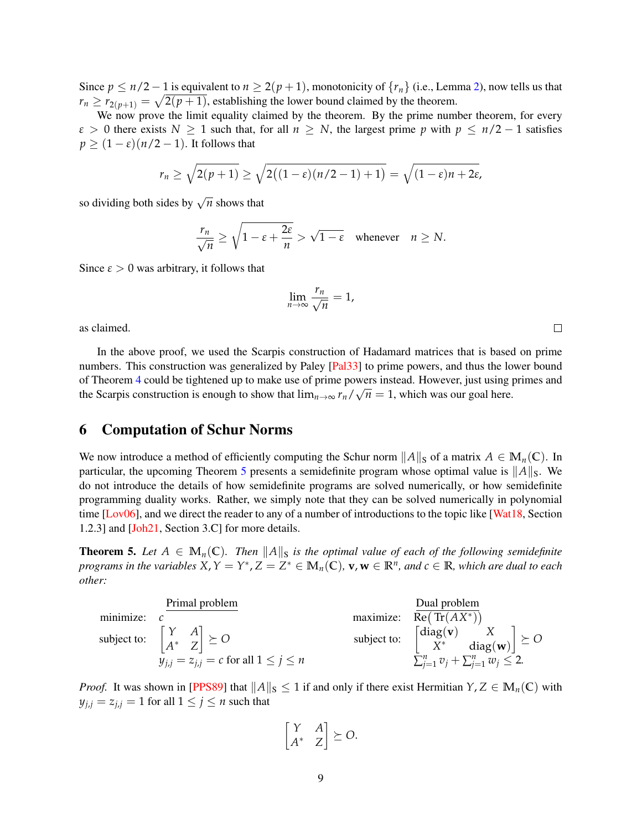Since  $p \le n/2 - 1$  is equivalent to  $n \ge 2(p + 1)$ , monotonicity of  $\{r_n\}$  (i.e., Lemma [2\)](#page-7-1), now tells us that  $r_n \ge r_{2(p+1)} = \sqrt{2(p+1)}$ , establishing the lower bound claimed by the theorem.

We now prove the limit equality claimed by the theorem. By the prime number theorem, for every  $\varepsilon > 0$  there exists  $N \ge 1$  such that, for all  $n \ge N$ , the largest prime *p* with  $p \le n/2 - 1$  satisfies  $p \geq (1 - \varepsilon)(n/2 - 1)$ . It follows that

$$
r_n \geq \sqrt{2(p+1)} \geq \sqrt{2((1-\varepsilon)(n/2-1)+1)} = \sqrt{(1-\varepsilon)n + 2\varepsilon},
$$

so dividing both sides by  $\sqrt{n}$  shows that

$$
\frac{r_n}{\sqrt{n}} \ge \sqrt{1 - \varepsilon + \frac{2\varepsilon}{n}} > \sqrt{1 - \varepsilon} \quad \text{whenever} \quad n \ge N.
$$

Since  $\epsilon > 0$  was arbitrary, it follows that

$$
\lim_{n\to\infty}\frac{r_n}{\sqrt{n}}=1,
$$

as claimed.

In the above proof, we used the Scarpis construction of Hadamard matrices that is based on prime numbers. This construction was generalized by Paley [\[Pal33\]](#page-16-4) to prime powers, and thus the lower bound of Theorem [4](#page-7-0) could be tightened up to make use of prime powers instead. However, just using primes and the Scarpis construction is enough to show that  $\lim_{n\to\infty} r_n/\sqrt{n} = 1$ , which was our goal here.

# <span id="page-8-0"></span>6 Computation of Schur Norms

We now introduce a method of efficiently computing the Schur norm  $||A||_S$  of a matrix  $A \in M_n(\mathbb{C})$ . In particular, the upcoming Theorem [5](#page-8-1) presents a semidefinite program whose optimal value is  $||A||_S$ . We do not introduce the details of how semidefinite programs are solved numerically, or how semidefinite programming duality works. Rather, we simply note that they can be solved numerically in polynomial time [\[Lov06\]](#page-15-7), and we direct the reader to any of a number of introductions to the topic like [\[Wat18,](#page-16-5) Section 1.2.3] and [\[Joh21,](#page-15-8) Section 3.C] for more details.

<span id="page-8-1"></span>**Theorem 5.** Let  $A \in M_n(\mathbb{C})$ . Then  $||A||_S$  is the optimal value of each of the following semidefinite programs in the variables  $X, Y = Y^*, Z = Z^* \in M_n(\mathbb{C}), \mathbf{v}, \mathbf{w} \in \mathbb{R}^n$ , and  $c \in \mathbb{R}$ , which are dual to each *other:*

|               | Primal problem                                                         | Dual problem                                                                                                       |
|---------------|------------------------------------------------------------------------|--------------------------------------------------------------------------------------------------------------------|
| minimize: $c$ |                                                                        | maximize: $Re(Tr(AX^*))$                                                                                           |
|               | subject to: $\begin{bmatrix} Y & A \\ A^* & Z \end{bmatrix} \succeq O$ | subject to: $\begin{bmatrix} \text{diag}(\mathbf{v}) & X \\ X^* & \text{diag}(\mathbf{w}) \end{bmatrix} \succeq O$ |
|               | $y_{i,j} = z_{i,j} = c$ for all $1 \leq j \leq n$                      | $\sum_{j=1}^n v_j + \sum_{j=1}^n w_j \leq 2.$                                                                      |

*Proof.* It was shown in [\[PPS89\]](#page-16-6) that  $||A||_S \leq 1$  if and only if there exist Hermitian  $Y, Z \in M_n(\mathbb{C})$  with  $y_{j,j} = z_{j,j} = 1$  for all  $1 \leq j \leq n$  such that

$$
\begin{bmatrix} Y & A \\ A^* & Z \end{bmatrix} \succeq O.
$$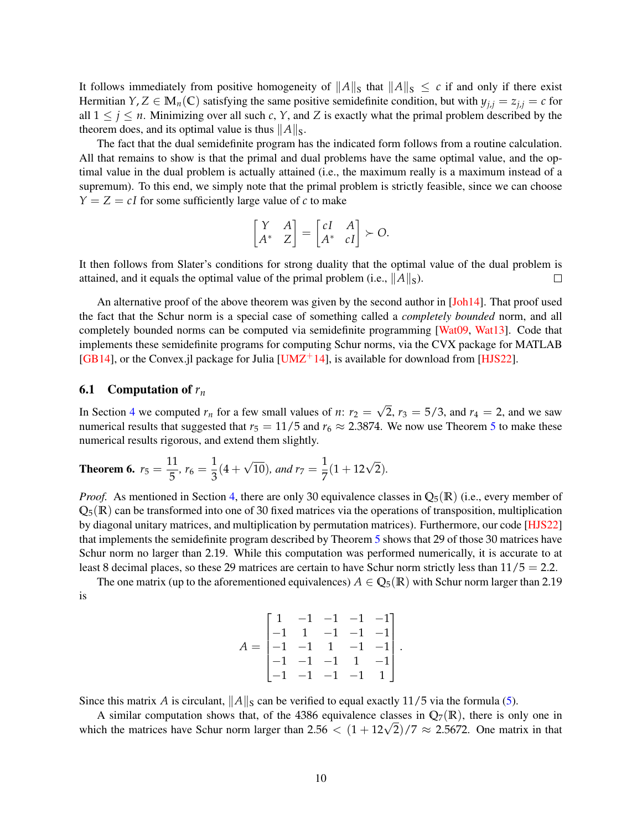It follows immediately from positive homogeneity of  $||A||_S$  that  $||A||_S \leq c$  if and only if there exist Hermitian  $Y, Z \in M_n(\mathbb{C})$  satisfying the same positive semidefinite condition, but with  $y_{j,i} = z_{j,i} = c$  for all  $1 \leq j \leq n$ . Minimizing over all such *c*, *Y*, and *Z* is exactly what the primal problem described by the theorem does, and its optimal value is thus  $||A||_S$ .

The fact that the dual semidefinite program has the indicated form follows from a routine calculation. All that remains to show is that the primal and dual problems have the same optimal value, and the optimal value in the dual problem is actually attained (i.e., the maximum really is a maximum instead of a supremum). To this end, we simply note that the primal problem is strictly feasible, since we can choose  $Y = Z = cI$  for some sufficiently large value of *c* to make

$$
\begin{bmatrix} Y & A \\ A^* & Z \end{bmatrix} = \begin{bmatrix} cI & A \\ A^* & cI \end{bmatrix} \succ O.
$$

It then follows from Slater's conditions for strong duality that the optimal value of the dual problem is attained, and it equals the optimal value of the primal problem (i.e.,  $||A||_S$ ).  $\Box$ 

An alternative proof of the above theorem was given by the second author in [\[Joh14\]](#page-15-9). That proof used the fact that the Schur norm is a special case of something called a *completely bounded* norm, and all completely bounded norms can be computed via semidefinite programming [\[Wat09,](#page-16-7) [Wat13\]](#page-16-8). Code that implements these semidefinite programs for computing Schur norms, via the CVX package for MATLAB [\[GB14\]](#page-15-10), or the Convex.jl package for Julia [\[UMZ](#page-16-9)<sup>+</sup>14], is available for download from [\[HJS22\]](#page-15-6).

#### <span id="page-9-0"></span>6.1 Computation of *r<sup>n</sup>*

In Section [4](#page-3-2) we computed  $r_n$  for a few small values of *n*:  $r_2$  = √ 2,  $r_3 = 5/3$ , and  $r_4 = 2$ , and we saw numerical results that suggested that  $r_5 = 11/5$  $r_5 = 11/5$  $r_5 = 11/5$  and  $r_6 \approx 2.3874$ . We now use Theorem 5 to make these numerical results rigorous, and extend them slightly.

<span id="page-9-1"></span>**Theorem 6.** 
$$
r_5 = \frac{11}{5}
$$
,  $r_6 = \frac{1}{3}(4 + \sqrt{10})$ , and  $r_7 = \frac{1}{7}(1 + 12\sqrt{2})$ .

*Proof.* As mentioned in Section [4,](#page-3-2) there are only 30 equivalence classes in  $\mathbb{Q}_5(\mathbb{R})$  (i.e., every member of  $Q_5(\mathbb{R})$  can be transformed into one of 30 fixed matrices via the operations of transposition, multiplication by diagonal unitary matrices, and multiplication by permutation matrices). Furthermore, our code [\[HJS22\]](#page-15-6) that implements the semidefinite program described by Theorem [5](#page-8-1) shows that 29 of those 30 matrices have Schur norm no larger than 2.19. While this computation was performed numerically, it is accurate to at least 8 decimal places, so these 29 matrices are certain to have Schur norm strictly less than  $11/5 = 2.2$ .

The one matrix (up to the aforementioned equivalences)  $A \in \mathbb{Q}_5(\mathbb{R})$  with Schur norm larger than 2.19 is

$$
A = \begin{bmatrix} 1 & -1 & -1 & -1 & -1 \\ -1 & 1 & -1 & -1 & -1 \\ -1 & -1 & 1 & -1 & -1 \\ -1 & -1 & -1 & 1 & -1 \\ -1 & -1 & -1 & -1 & 1 \end{bmatrix}
$$

.

Since this matrix *A* is circulant,  $||A||_S$  can be verified to equal exactly 11/5 via the formula [\(5\)](#page-1-4).

A similar computation shows that, of the 4386 equivalence classes in  $\mathbb{Q}_7(\mathbb{R})$ , there is only one in A simuar computation shows that, or the 4386 equivalence classes in  $Q_7(K)$ , there is only one in which the matrices have Schur norm larger than  $2.56 < (1 + 12\sqrt{2})/7 \approx 2.5672$ . One matrix in that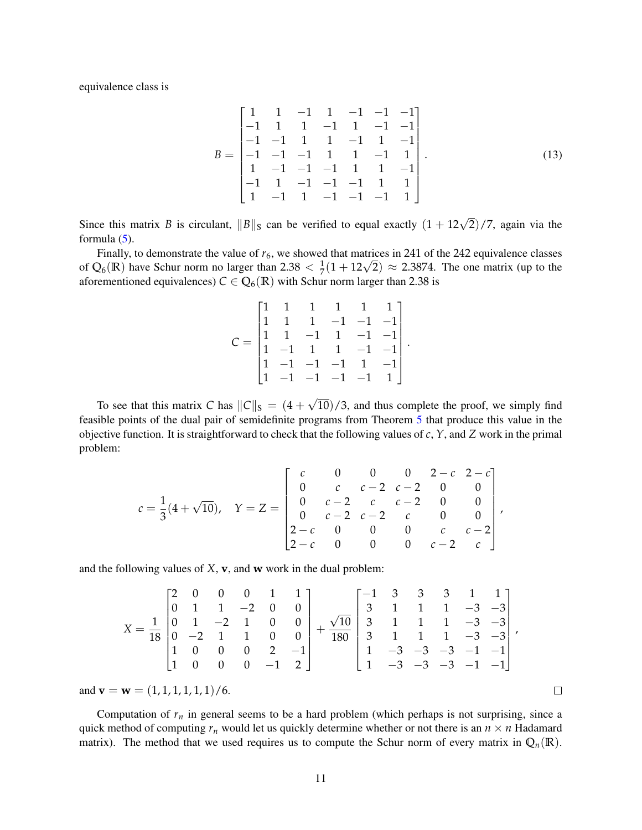equivalence class is

$$
B = \begin{bmatrix} 1 & 1 & -1 & 1 & -1 & -1 & -1 \\ -1 & 1 & 1 & -1 & 1 & -1 & -1 \\ -1 & -1 & 1 & 1 & -1 & 1 & -1 \\ -1 & -1 & -1 & 1 & 1 & -1 & 1 \\ 1 & -1 & -1 & -1 & 1 & 1 & -1 \\ -1 & 1 & -1 & -1 & -1 & 1 & 1 \\ 1 & -1 & 1 & -1 & -1 & -1 & 1 \end{bmatrix}.
$$
 (13)

<span id="page-10-0"></span>.

Since this matrix *B* is circulant,  $||B||_S$  can be verified to equal exactly  $(1 + 12\sqrt{2})/7$ , again via the formula  $(5)$ .

Finally, to demonstrate the value of  $r_6$ , we showed that matrices in 241 of the 242 equivalence classes Finally, to demonstrate the value of  $r_6$ , we showed that matrices in 241 of the 242 equivalence classes of  $Q_6(\mathbb{R})$  have Schur norm no larger than  $2.38 < \frac{1}{7}(1 + 12\sqrt{2}) \approx 2.3874$ . The one matrix (up to the aforementioned equivalences)  $C \in \mathbb{Q}_6(\mathbb{R})$  with Schur norm larger than 2.38 is

$$
C = \begin{bmatrix} 1 & 1 & 1 & 1 & 1 & 1 \\ 1 & 1 & 1 & -1 & -1 & -1 \\ 1 & 1 & -1 & 1 & -1 & -1 \\ 1 & -1 & 1 & 1 & -1 & -1 \\ 1 & -1 & -1 & -1 & 1 & -1 \\ 1 & -1 & -1 & -1 & -1 & 1 \end{bmatrix}
$$

To see that this matrix *C* has  $||C||_S = (4 +$ √ 10)/3, and thus complete the proof, we simply find feasible points of the dual pair of semidefinite programs from Theorem [5](#page-8-1) that produce this value in the objective function. It is straightforward to check that the following values of *c*, *Y*, and *Z* work in the primal problem:

$$
c = \frac{1}{3}(4+\sqrt{10}), \quad Y = Z = \begin{bmatrix} c & 0 & 0 & 0 & 2-c & 2-c \\ 0 & c & c-2 & c-2 & 0 & 0 \\ 0 & c-2 & c & c-2 & 0 & 0 \\ 0 & c-2 & c-2 & c & 0 & 0 \\ 2-c & 0 & 0 & 0 & c & c-2 \\ 2-c & 0 & 0 & 0 & c-2 & c \end{bmatrix},
$$

and the following values of *X*, **v**, and **w** work in the dual problem:

$$
X = \frac{1}{18} \begin{bmatrix} 2 & 0 & 0 & 0 & 1 & 1 \\ 0 & 1 & 1 & -2 & 0 & 0 \\ 0 & 1 & -2 & 1 & 0 & 0 \\ 0 & -2 & 1 & 1 & 0 & 0 \\ 1 & 0 & 0 & 0 & 2 & -1 \\ 1 & 0 & 0 & 0 & -1 & 2 \end{bmatrix} + \frac{\sqrt{10}}{180} \begin{bmatrix} -1 & 3 & 3 & 3 & 1 & 1 \\ 3 & 1 & 1 & 1 & -3 & -3 \\ 3 & 1 & 1 & 1 & 1 & -3 & -3 \\ 3 & 1 & 1 & 1 & 1 & -3 & -3 \\ 1 & -3 & -3 & -3 & -1 & -1 \\ 1 & -3 & -3 & -3 & -1 & -1 \end{bmatrix},
$$

and  $\mathbf{v} = \mathbf{w} = (1, 1, 1, 1, 1, 1) / 6$ .

Computation of  $r<sub>n</sub>$  in general seems to be a hard problem (which perhaps is not surprising, since a quick method of computing  $r_n$  would let us quickly determine whether or not there is an  $n \times n$  Hadamard matrix). The method that we used requires us to compute the Schur norm of every matrix in  $Q_n(\mathbb{R})$ .

 $\Box$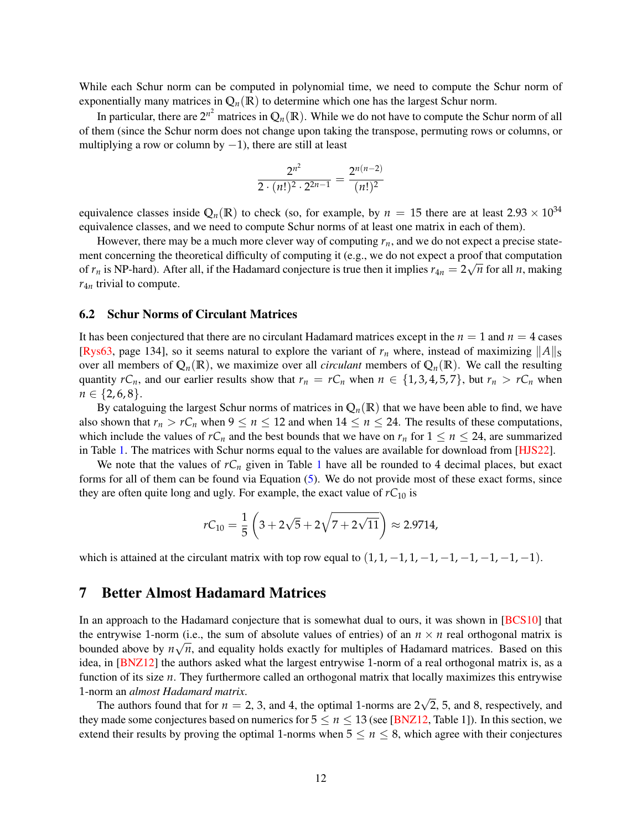While each Schur norm can be computed in polynomial time, we need to compute the Schur norm of exponentially many matrices in  $\mathbb{Q}_n(\mathbb{R})$  to determine which one has the largest Schur norm.

In particular, there are  $2^{n^2}$  matrices in  $\mathbb{Q}_n(\mathbb{R})$ . While we do not have to compute the Schur norm of all of them (since the Schur norm does not change upon taking the transpose, permuting rows or columns, or multiplying a row or column by  $-1$ ), there are still at least

$$
\frac{2^{n^2}}{2\cdot (n!)^2\cdot 2^{2n-1}}=\frac{2^{n(n-2)}}{(n!)^2}
$$

equivalence classes inside  $\mathbb{Q}_n(\mathbb{R})$  to check (so, for example, by  $n = 15$  there are at least  $2.93 \times 10^{34}$ equivalence classes, and we need to compute Schur norms of at least one matrix in each of them).

However, there may be a much more clever way of computing  $r_n$ , and we do not expect a precise statement concerning the theoretical difficulty of computing it (e.g., we do not expect a proof that computation of  $r_n$  is NP-hard). After all, if the Hadamard conjecture is true then it implies  $r_{4n} = 2\sqrt{n}$  for all *n*, making *r*4*<sup>n</sup>* trivial to compute.

#### 6.2 Schur Norms of Circulant Matrices

It has been conjectured that there are no circulant Hadamard matrices except in the  $n = 1$  and  $n = 4$  cases [\[Rys63,](#page-16-10) page 134], so it seems natural to explore the variant of  $r_n$  where, instead of maximizing  $||A||_S$ over all members of  $Q_n(\mathbb{R})$ , we maximize over all *circulant* members of  $Q_n(\mathbb{R})$ . We call the resulting quantity  $rC_n$ , and our earlier results show that  $r_n = rC_n$  when  $n \in \{1, 3, 4, 5, 7\}$ , but  $r_n > rC_n$  when  $n \in \{2, 6, 8\}.$ 

By cataloguing the largest Schur norms of matrices in  $Q_n(\mathbb{R})$  that we have been able to find, we have also shown that  $r_n > rC_n$  when  $9 \le n \le 12$  and when  $14 \le n \le 24$ . The results of these computations, which include the values of  $rC_n$  and the best bounds that we have on  $r_n$  for  $1 \le n \le 24$ , are summarized in Table [1.](#page-12-0) The matrices with Schur norms equal to the values are available for download from [\[HJS22\]](#page-15-6).

We note that the values of  $rC_n$  given in Table [1](#page-12-0) have all be rounded to 4 decimal places, but exact forms for all of them can be found via Equation [\(5\)](#page-1-4). We do not provide most of these exact forms, since they are often quite long and ugly. For example, the exact value of  $rC_{10}$  is

$$
rC_{10} = \frac{1}{5} \left( 3 + 2\sqrt{5} + 2\sqrt{7 + 2\sqrt{11}} \right) \approx 2.9714,
$$

which is attained at the circulant matrix with top row equal to  $(1, 1, -1, 1, -1, -1, -1, -1, -1, -1)$ .

### 7 Better Almost Hadamard Matrices

In an approach to the Hadamard conjecture that is somewhat dual to ours, it was shown in [\[BCS10\]](#page-15-11) that the entrywise 1-norm (i.e., the sum of absolute values of entries) of an  $n \times n$  real orthogonal matrix is bounded above by  $n\sqrt{n}$ , and equality holds exactly for multiples of Hadamard matrices. Based on this idea, in [\[BNZ12\]](#page-15-12) the authors asked what the largest entrywise 1-norm of a real orthogonal matrix is, as a function of its size *n*. They furthermore called an orthogonal matrix that locally maximizes this entrywise 1-norm an *almost Hadamard matrix*. √

The authors found that for  $n = 2, 3$ , and 4, the optimal 1-norms are 2 2, 5, and 8, respectively, and they made some conjectures based on numerics for  $5 \le n \le 13$  (see [\[BNZ12,](#page-15-12) Table 1]). In this section, we extend their results by proving the optimal 1-norms when  $5 \le n \le 8$ , which agree with their conjectures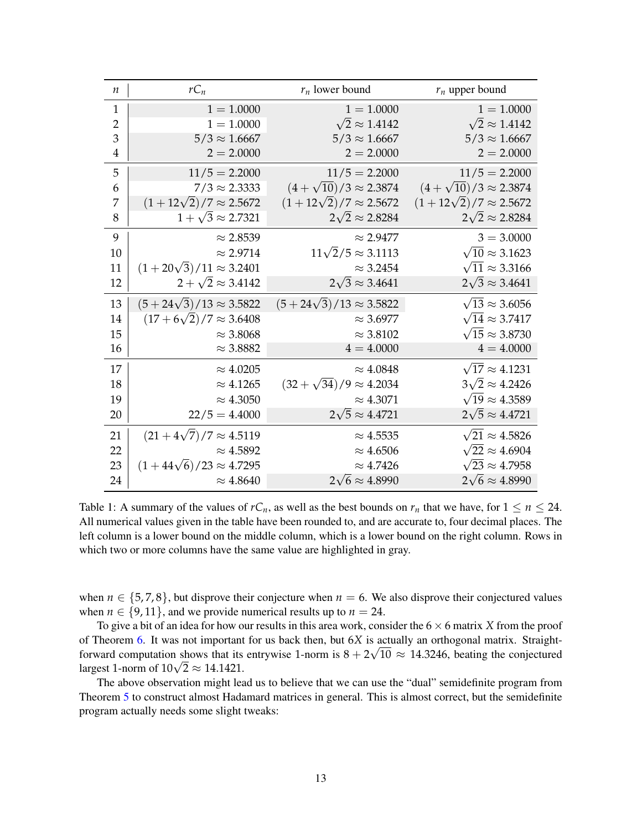| $\boldsymbol{n}$ | $rC_n$                             | $r_n$ lower bound                  | $r_n$ upper bound                 |
|------------------|------------------------------------|------------------------------------|-----------------------------------|
| $\mathbf{1}$     | $1 = 1.0000$                       | $1 = 1.0000$                       | $1 = 1.0000$                      |
| $\overline{2}$   | $1 = 1.0000$                       | $\sqrt{2} \approx 1.4142$          | $\sqrt{2} \approx 1.4142$         |
| 3                | $5/3 \approx 1.6667$               | $5/3 \approx 1.6667$               | $5/3 \approx 1.6667$              |
| $\overline{4}$   | $2 = 2.0000$                       | $2 = 2.0000$                       | $2 = 2.0000$                      |
| 5                | $11/5 = 2.2000$                    | $11/5 = 2.2000$                    | $11/5 = 2.2000$                   |
| 6                | $7/3 \approx 2.3333$               | $(4+\sqrt{10})/3 \approx 2.3874$   | $(4+\sqrt{10})/3 \approx 2.3874$  |
| 7                | $(1+12\sqrt{2})/7 \approx 2.5672$  | $(1+12\sqrt{2})/7 \approx 2.5672$  | $(1+12\sqrt{2})/7 \approx 2.5672$ |
| 8                | $1+\sqrt{3} \approx 2.7321$        | $2\sqrt{2} \approx 2.8284$         | $2\sqrt{2} \approx 2.8284$        |
| 9                | $\approx 2.8539$                   | $\approx$ 2.9477                   | $3 = 3.0000$                      |
| 10               | $\approx 2.9714$                   | $11\sqrt{2}/5 \approx 3.1113$      | $\sqrt{10} \approx 3.1623$        |
| 11               | $(1+20\sqrt{3})/11 \approx 3.2401$ | $\approx$ 3.2454                   | $\sqrt{11} \approx 3.3166$        |
| 12               | $2+\sqrt{2}\approx 3.4142$         | $2\sqrt{3} \approx 3.4641$         | $2\sqrt{3} \approx 3.4641$        |
| 13               | $(5+24\sqrt{3})/13 \approx 3.5822$ | $(5+24\sqrt{3})/13 \approx 3.5822$ | $\sqrt{13} \approx 3.6056$        |
| 14               | $(17+6\sqrt{2})/7 \approx 3.6408$  | $\approx$ 3.6977                   | $\sqrt{14} \approx 3.7417$        |
| 15               | $\approx$ 3.8068                   | $\approx$ 3.8102                   | $\sqrt{15} \approx 3.8730$        |
| 16               | $\approx$ 3.8882                   | $4 = 4.0000$                       | $4 = 4.0000$                      |
| 17               | $\approx 4.0205$                   | $\approx 4.0848$                   | $\sqrt{17} \approx 4.1231$        |
| 18               | $\approx 4.1265$                   | $(32+\sqrt{34})/9 \approx 4.2034$  | $3\sqrt{2} \approx 4.2426$        |
| 19               | $\approx 4.3050$                   | $\approx 4.3071$                   | $\sqrt{19} \approx 4.3589$        |
| 20               | $22/5 = 4.4000$                    | $2\sqrt{5} \approx 4.4721$         | $2\sqrt{5} \approx 4.4721$        |
| 21               | $(21+4\sqrt{7})/7 \approx 4.5119$  | $\approx 4.5535$                   | $\sqrt{21} \approx 4.5826$        |
| 22               | $\approx 4.5892$                   | $\approx 4.6506$                   | $\sqrt{22} \approx 4.6904$        |
| 23               | $(1+44\sqrt{6})/23 \approx 4.7295$ | $\approx 4.7426$                   | $\sqrt{23} \approx 4.7958$        |
| 24               | $\approx 4.8640$                   | $2\sqrt{6} \approx 4.8990$         | $2\sqrt{6} \approx 4.8990$        |

<span id="page-12-0"></span>Table 1: A summary of the values of  $rC_n$ , as well as the best bounds on  $r_n$  that we have, for  $1 \le n \le 24$ . All numerical values given in the table have been rounded to, and are accurate to, four decimal places. The left column is a lower bound on the middle column, which is a lower bound on the right column. Rows in which two or more columns have the same value are highlighted in gray.

when  $n \in \{5, 7, 8\}$ , but disprove their conjecture when  $n = 6$ . We also disprove their conjectured values when  $n \in \{9, 11\}$ , and we provide numerical results up to  $n = 24$ .

To give a bit of an idea for how our results in this area work, consider the 6 × 6 matrix *X* from the proof of Theorem [6.](#page-9-1) It was not important for us back then, but  $6X$  is actually an orthogonal matrix. Straightforward computation shows that its entrywise 1-norm is  $8 + 2\sqrt{10} \approx 14.3246$ , beating the conjectured forward computation shows that its<br>largest 1-norm of 10√2  $\approx$  14.1421.

The above observation might lead us to believe that we can use the "dual" semidefinite program from Theorem [5](#page-8-1) to construct almost Hadamard matrices in general. This is almost correct, but the semidefinite program actually needs some slight tweaks: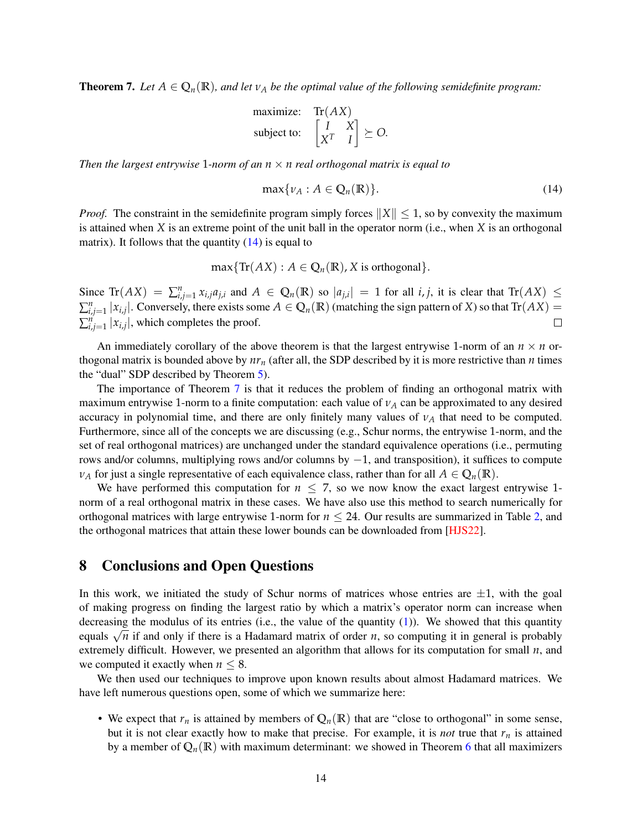<span id="page-13-1"></span>**Theorem 7.** Let  $A \in \mathbb{Q}_n(\mathbb{R})$ , and let  $v_A$  be the optimal value of the following semidefinite program:

maximize: Tr(AX)  
subject to: 
$$
\begin{bmatrix} I & X \\ X^T & I \end{bmatrix} \succeq O.
$$

*Then the largest entrywise* 1-norm of an  $n \times n$  real orthogonal matrix is equal to

<span id="page-13-0"></span>
$$
\max\{\nu_A : A \in \mathbb{Q}_n(\mathbb{R})\}.
$$
 (14)

*Proof.* The constraint in the semidefinite program simply forces  $||X|| \leq 1$ , so by convexity the maximum is attained when *X* is an extreme point of the unit ball in the operator norm (i.e., when *X* is an orthogonal matrix). It follows that the quantity  $(14)$  is equal to

$$
\max\{\text{Tr}(AX):A\in\mathbb{Q}_n(\mathbb{R}),X\text{ is orthogonal}\}.
$$

Since  $\text{Tr}(AX) = \sum_{i,j=1}^n x_{i,j} a_{j,i}$  and  $A \in \mathbb{Q}_n(\mathbb{R})$  so  $|a_{j,i}| = 1$  for all i, j, it is clear that  $\text{Tr}(AX) \leq$  $\sum_{i,j=1}^n |x_{i,j}|$ . Conversely, there exists some  $A \in \mathbb{Q}_n(\mathbb{R})$  (matching the sign pattern of *X*) so that  $\text{Tr}(AX) =$  $\sum_{i,j=1}^{n} |x_{i,j}|$ , which completes the proof.  $\Box$ 

An immediately corollary of the above theorem is that the largest entrywise 1-norm of an  $n \times n$  orthogonal matrix is bounded above by  $nr_n$  (after all, the SDP described by it is more restrictive than *n* times the "dual" SDP described by Theorem [5\)](#page-8-1).

The importance of Theorem [7](#page-13-1) is that it reduces the problem of finding an orthogonal matrix with maximum entrywise 1-norm to a finite computation: each value of *ν<sup>A</sup>* can be approximated to any desired accuracy in polynomial time, and there are only finitely many values of  $v_A$  that need to be computed. Furthermore, since all of the concepts we are discussing (e.g., Schur norms, the entrywise 1-norm, and the set of real orthogonal matrices) are unchanged under the standard equivalence operations (i.e., permuting rows and/or columns, multiplying rows and/or columns by −1, and transposition), it suffices to compute  $\nu_A$  for just a single representative of each equivalence class, rather than for all  $A \in \mathbb{Q}_n(\mathbb{R})$ .

We have performed this computation for  $n \leq 7$ , so we now know the exact largest entrywise 1norm of a real orthogonal matrix in these cases. We have also use this method to search numerically for orthogonal matrices with large entrywise 1-norm for *n* ≤ 24. Our results are summarized in Table [2,](#page-14-0) and the orthogonal matrices that attain these lower bounds can be downloaded from [\[HJS22\]](#page-15-6).

# 8 Conclusions and Open Questions

In this work, we initiated the study of Schur norms of matrices whose entries are  $\pm 1$ , with the goal of making progress on finding the largest ratio by which a matrix's operator norm can increase when decreasing the modulus of its entries (i.e., the value of the quantity  $(1)$ ). We showed that this quantity decreasing the modulus of its entries (i.e., the value of the quantity (1)). We showed that this quantity equals  $\sqrt{n}$  if and only if there is a Hadamard matrix of order *n*, so computing it in general is probably extremely difficult. However, we presented an algorithm that allows for its computation for small *n*, and we computed it exactly when  $n \leq 8$ .

We then used our techniques to improve upon known results about almost Hadamard matrices. We have left numerous questions open, some of which we summarize here:

• We expect that  $r_n$  is attained by members of  $Q_n(\mathbb{R})$  that are "close to orthogonal" in some sense, but it is not clear exactly how to make that precise. For example, it is *not* true that  $r<sub>n</sub>$  is attained by a member of  $\mathbb{Q}_n(\mathbb{R})$  with maximum determinant: we showed in Theorem [6](#page-9-1) that all maximizers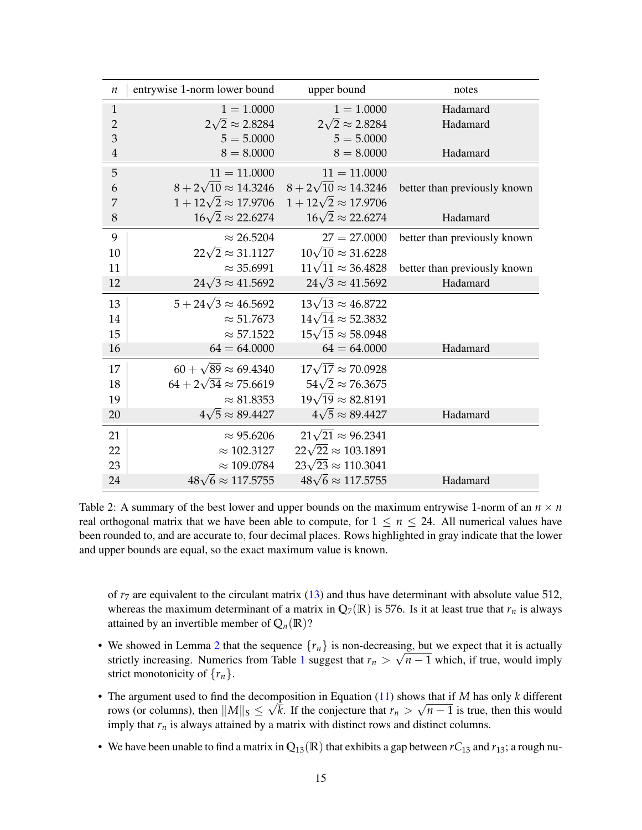| $\boldsymbol{n}$ | entrywise 1-norm lower bound      | upper bound                                                       | notes                        |
|------------------|-----------------------------------|-------------------------------------------------------------------|------------------------------|
| $\mathbf{1}$     | $1 = 1.0000$                      | $1 = 1.0000$                                                      | Hadamard                     |
| $\overline{2}$   | $2\sqrt{2} \approx 2.8284$        | $2\sqrt{2} \approx 2.8284$                                        | Hadamard                     |
| 3                | $5 = 5.0000$                      | $5 = 5.0000$                                                      |                              |
| $\overline{4}$   | $8 = 8.0000$                      | $8 = 8.0000$                                                      | Hadamard                     |
| 5                | $11 = 11.0000$                    | $11 = 11.0000$                                                    |                              |
| 6                |                                   | $8 + 2\sqrt{10} \approx 14.3246$ $8 + 2\sqrt{10} \approx 14.3246$ | better than previously known |
| 7                |                                   | $1 + 12\sqrt{2} \approx 17.9706$ $1 + 12\sqrt{2} \approx 17.9706$ |                              |
| 8                | $16\sqrt{2} \approx 22.6274$      | $16\sqrt{2} \approx 22.6274$                                      | Hadamard                     |
| 9                | $\approx 26.5204$                 | $27 = 27.0000$                                                    | better than previously known |
| 10               | $22\sqrt{2} \approx 31.1127$      | $10\sqrt{10} \approx 31.6228$                                     |                              |
| 11               | $\approx$ 35.6991                 | $11\sqrt{11} \approx 36.4828$                                     | better than previously known |
| 12               | $24\sqrt{3} \approx 41.5692$      | $24\sqrt{3} \approx 41.5692$                                      | Hadamard                     |
| 13               | $5 + 24\sqrt{3} \approx 46.5692$  | $13\sqrt{13} \approx 46.8722$                                     |                              |
| 14               | $\approx 51.7673$                 | $14\sqrt{14} \approx 52.3832$                                     |                              |
| 15               | $\approx$ 57.1522                 | $15\sqrt{15} \approx 58.0948$                                     |                              |
| 16               | $64 = 64.0000$                    | $64 = 64.0000$                                                    | Hadamard                     |
| 17               | $60 + \sqrt{89} \approx 69.4340$  | $17\sqrt{17} \approx 70.0928$                                     |                              |
| 18               | $64 + 2\sqrt{34} \approx 75.6619$ | $54\sqrt{2} \approx 76.3675$                                      |                              |
| 19               | $\approx 81.8353$                 | $19\sqrt{19} \approx 82.8191$                                     |                              |
| 20               | $4\sqrt{5} \approx 89.4427$       | $4\sqrt{5} \approx 89.4427$                                       | Hadamard                     |
| 21               | $\approx 95.6206$                 | $21\sqrt{21} \approx 96.2341$                                     |                              |
| 22               | $\approx$ 102.3127                | $22\sqrt{22} \approx 103.1891$                                    |                              |
| 23               | $\approx 109.0784$                | $23\sqrt{23} \approx 110.3041$                                    |                              |
| 24               | $48\sqrt{6} \approx 117.5755$     | $48\sqrt{6} \approx 117.5755$                                     | Hadamard                     |

<span id="page-14-0"></span>Table 2: A summary of the best lower and upper bounds on the maximum entrywise 1-norm of an  $n \times n$ real orthogonal matrix that we have been able to compute, for  $1 \leq n \leq 24$ . All numerical values have been rounded to, and are accurate to, four decimal places. Rows highlighted in gray indicate that the lower and upper bounds are equal, so the exact maximum value is known.

of  $r<sub>7</sub>$  are equivalent to the circulant matrix [\(13\)](#page-10-0) and thus have determinant with absolute value 512, whereas the maximum determinant of a matrix in  $\mathbb{Q}_7(\mathbb{R})$  is 576. Is it at least true that  $r_n$  is always attained by an invertible member of  $Q_n(\mathbb{R})$ ?

- We showed in Lemma [2](#page-7-1) that the sequence  $\{r_n\}$  is non-decreasing, but we expect that it is actually strictly increasing. Numerics from Table [1](#page-12-0) suggest that  $r_n > \sqrt{n-1}$  which, if true, would imply strict monotonicity of  $\{r_n\}$ .
- The argument used to find the decomposition in Equation  $(11)$  shows that if *M* has only *k* different rows (or columns), then  $||M||_{S} \leq \sqrt{k}$ . If the conjecture that  $r_n > \sqrt{n-1}$  is true, then this would imply that  $r_n$  is always attained by a matrix with distinct rows and distinct columns.
- We have been unable to find a matrix in  $\mathbb{Q}_{13}(\mathbb{R})$  that exhibits a gap between  $rC_{13}$  and  $r_{13}$ ; a rough nu-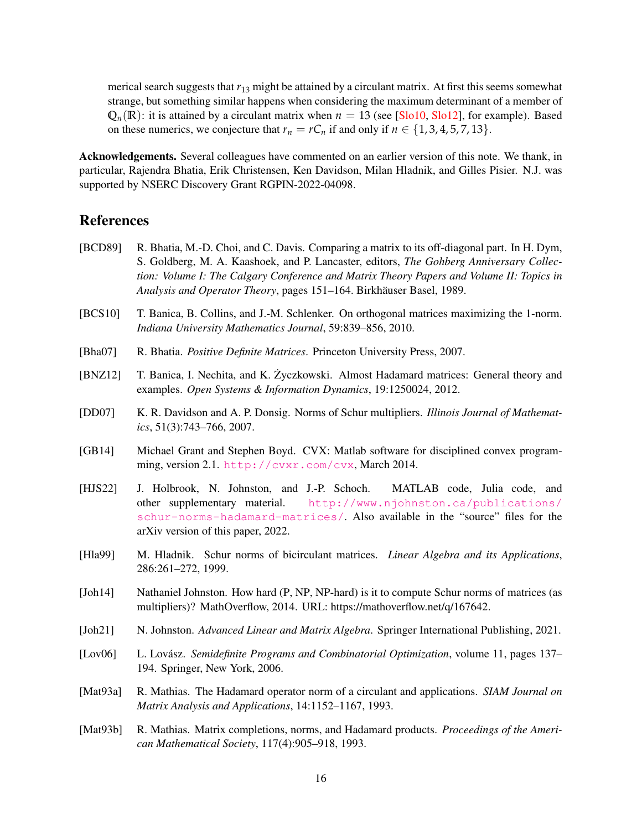merical search suggests that *r*<sup>13</sup> might be attained by a circulant matrix. At first this seems somewhat strange, but something similar happens when considering the maximum determinant of a member of  $Q_n(\mathbb{R})$ : it is attained by a circulant matrix when  $n = 13$  (see [\[Slo10,](#page-16-11) [Slo12\]](#page-16-12), for example). Based on these numerics, we conjecture that  $r_n = rC_n$  if and only if  $n \in \{1, 3, 4, 5, 7, 13\}$ .

Acknowledgements. Several colleagues have commented on an earlier version of this note. We thank, in particular, Rajendra Bhatia, Erik Christensen, Ken Davidson, Milan Hladnik, and Gilles Pisier. N.J. was supported by NSERC Discovery Grant RGPIN-2022-04098.

# References

- <span id="page-15-5"></span>[BCD89] R. Bhatia, M.-D. Choi, and C. Davis. Comparing a matrix to its off-diagonal part. In H. Dym, S. Goldberg, M. A. Kaashoek, and P. Lancaster, editors, *The Gohberg Anniversary Collection: Volume I: The Calgary Conference and Matrix Theory Papers and Volume II: Topics in Analysis and Operator Theory*, pages 151–164. Birkhäuser Basel, 1989.
- <span id="page-15-11"></span>[BCS10] T. Banica, B. Collins, and J.-M. Schlenker. On orthogonal matrices maximizing the 1-norm. *Indiana University Mathematics Journal*, 59:839–856, 2010.
- <span id="page-15-2"></span>[Bha07] R. Bhatia. *Positive Definite Matrices*. Princeton University Press, 2007.
- <span id="page-15-12"></span>[BNZ12] T. Banica, I. Nechita, and K. Zyczkowski. Almost Hadamard matrices: General theory and examples. *Open Systems & Information Dynamics*, 19:1250024, 2012.
- <span id="page-15-1"></span>[DD07] K. R. Davidson and A. P. Donsig. Norms of Schur multipliers. *Illinois Journal of Mathematics*, 51(3):743–766, 2007.
- <span id="page-15-10"></span>[GB14] Michael Grant and Stephen Boyd. CVX: Matlab software for disciplined convex programming, version 2.1. <http://cvxr.com/cvx>, March 2014.
- <span id="page-15-6"></span>[HJS22] J. Holbrook, N. Johnston, and J.-P. Schoch. MATLAB code, Julia code, and other supplementary material. [http://www.njohnston.ca/publications/](http://www.njohnston.ca/publications/schur-norms-hadamard-matrices/) [schur-norms-hadamard-matrices/](http://www.njohnston.ca/publications/schur-norms-hadamard-matrices/). Also available in the "source" files for the arXiv version of this paper, 2022.
- <span id="page-15-3"></span>[Hla99] M. Hladnik. Schur norms of bicirculant matrices. *Linear Algebra and its Applications*, 286:261–272, 1999.
- <span id="page-15-9"></span>[Joh14] Nathaniel Johnston. How hard (P, NP, NP-hard) is it to compute Schur norms of matrices (as multipliers)? MathOverflow, 2014. URL: https://mathoverflow.net/q/167642.
- <span id="page-15-8"></span>[Joh21] N. Johnston. *Advanced Linear and Matrix Algebra*. Springer International Publishing, 2021.
- <span id="page-15-7"></span>[Lov06] L. Lovász. *Semidefinite Programs and Combinatorial Optimization*, volume 11, pages 137– 194. Springer, New York, 2006.
- <span id="page-15-0"></span>[Mat93a] R. Mathias. The Hadamard operator norm of a circulant and applications. *SIAM Journal on Matrix Analysis and Applications*, 14:1152–1167, 1993.
- <span id="page-15-4"></span>[Mat93b] R. Mathias. Matrix completions, norms, and Hadamard products. *Proceedings of the American Mathematical Society*, 117(4):905–918, 1993.